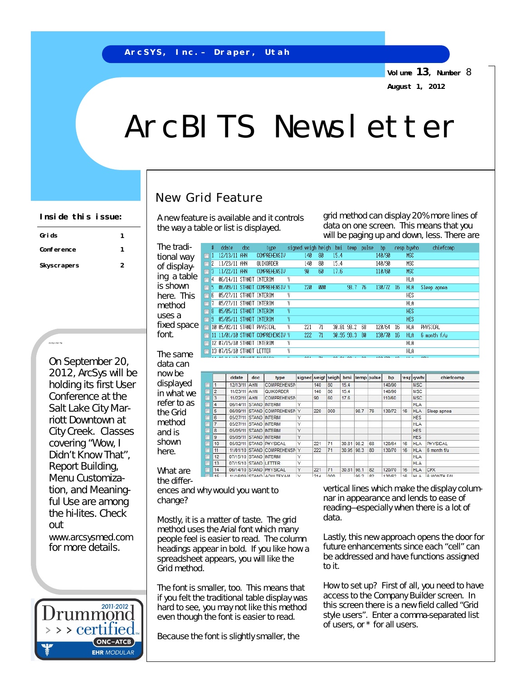**Volume 13, Number** 8 **August 1, 2012**

## ArcBITS Newsletter

## New Grid Feature

A new feature is available and it controls the way a table or list is displayed.

**Inside this issue:** A new feature is available and it controls grid method can display 20% more lines of data on one screen. This means that you will be paging up and down, less. There are

| The tradi-  | #                              | ddate               | doc                                |     | type                                         | signed weigh heigh |     | bmi   | temp-        | pulse             |    | bp                |    | resp bywho               | chiefcomp   |
|-------------|--------------------------------|---------------------|------------------------------------|-----|----------------------------------------------|--------------------|-----|-------|--------------|-------------------|----|-------------------|----|--------------------------|-------------|
| tional way  |                                |                     | 12/13/11 AHN                       |     | <b>COMPREHENSIV</b>                          | 140                | 80  | 15.4  |              |                   |    | 140/90            |    | <b>MSC</b>               |             |
| of display- | $\mathbf{Z}$<br>$\blacksquare$ |                     | 11/23/11 AHN                       |     | QUIKORDER                                    | 140                | 80  | 15.4  |              |                   |    | 140/90            |    | <b>MSC</b>               |             |
|             | 3<br>$\Box$                    |                     | 11/22/11 AHN                       |     | <b>COMPREHENSIV</b>                          | 90                 | 60  | 17.6  |              |                   |    | 110/60            |    | <b>MSC</b>               |             |
| ing a table | 14<br>$\Box$                   |                     | 06/14/11 STANDT INTERIM            |     | γ                                            |                    |     |       |              |                   |    |                   |    | <b>HLA</b>               |             |
| is shown    | г                              |                     |                                    |     | 06/09/11 STANDT COMPREHENSIU Y               | 220                | 000 |       | 98.7         | -76               |    | 130/72<br>-16     |    | HLA                      | Sleep apnea |
| here. This  | ĥ<br>г                         |                     | 05/27/11 STANDT                    |     | γ<br>INTERIM                                 |                    |     |       |              |                   |    |                   |    | <b>HFS</b>               |             |
| method      | $\Box$                         |                     | 05/27/11 STANDT                    |     | γ<br>INTERIM                                 |                    |     |       |              |                   |    |                   |    | HLA                      |             |
| uses a      | 8<br>г                         |                     | 05/05/11 STANDT INTERIM            |     | γ                                            |                    |     |       |              |                   |    |                   |    | <b>HES</b>               |             |
|             | F                              |                     | 05/05/11 STANDT INTERIM            |     | Ÿ                                            |                    |     |       |              |                   |    |                   |    | <b>HES</b>               |             |
| fixed space | $\blacksquare$                 | 10                  | 05/02/11 STANDT PHYSICAL           |     | γ                                            | 221                | 71  |       | 30.81 98.2   | 68                |    | 120/64            | 16 | HLA                      | PHYSICAL    |
| font.       |                                |                     |                                    |     | 11 11/01/10 STANDT COMPREHENSIV Y            | 222                | 71  |       | 30.95 98.3   | -80               |    | 130/70<br>-16     |    | HLA                      | 6 month f/u |
|             |                                |                     | 12 07/15/10 STANDT INTERIM         |     | γ                                            |                    |     |       |              |                   |    |                   |    | HLA                      |             |
| The same    |                                |                     | 13 07/15/10 STANDT LETTER          |     | Y                                            |                    |     |       |              |                   |    |                   |    | HLA                      |             |
|             |                                |                     | OC H 4 H G OTAHAT DUUDTOAL         |     | $\mathbf{u}$                                 | oo.                | ۰.  |       | <b>COLOR</b> | <b>COL</b>        |    | <b>CONTRACTOR</b> |    | 111 A                    | onu         |
| data can    |                                |                     |                                    |     |                                              |                    |     |       |              |                   |    |                   |    |                          |             |
| now be      |                                |                     | ddate                              | doc | type                                         | signed weigh       |     | heigh | bmi          | temp <b>bulse</b> |    | bp                |    | esplywho                 | chiefcomp   |
| displayed   | $\Box$                         | 1                   | 12/13/11 AHN                       |     | <b>COMPREHENSN</b>                           |                    | 140 | 80    | 15.4         |                   |    | 140/90            |    | <b>MSC</b>               |             |
| in what we  | п                              | $\overline{2}$      | 11/23/11 AHN                       |     | QUIKORDER                                    |                    | 140 | 80    | 15.4         |                   |    | 140/90            |    | <b>MSC</b>               |             |
|             |                                | 3                   | 11/22/11 AHN                       |     | <b>COMPREHENSN</b>                           |                    | 90  | 60    | 17.6         |                   |    | 110/60            |    | <b>MSC</b>               |             |
| refer to as | Б                              | 4                   | 06/14/11 STAND INTERIM             |     |                                              | Y                  |     |       |              |                   |    |                   |    | <b>HLA</b>               |             |
| the Grid    |                                | 5                   | 06/09/11                           |     | STAND COMPREHENSN                            | Y                  | 220 | 000   |              | 98.7              | 76 | 130/72            | 16 | <b>HLA</b>               | Sleep apnea |
| method      |                                | 6<br>$\overline{7}$ | 05/27/11 STAND INTERIM             |     |                                              | Υ<br>Ý             |     |       |              |                   |    |                   |    | <b>HES</b>               |             |
|             |                                | 8                   | 05/27/11<br>05/05/11               |     | <b>STAND INTERIM</b><br><b>STAND INTERIM</b> | Ÿ                  |     |       |              |                   |    |                   |    | <b>HLA</b><br><b>HES</b> |             |
| and is      |                                |                     |                                    |     |                                              |                    |     |       |              |                   |    |                   |    |                          |             |
|             |                                |                     |                                    |     |                                              |                    |     |       |              |                   |    |                   |    |                          |             |
| shown       |                                | 9<br>10             | 05/05/11 STAND INTERIM<br>05/02/11 |     | <b>STAND PHYSICAL</b>                        | Υ<br>Υ             | 221 | 71    | 30.81        | 98.2              | 68 | 120/64            | 16 | <b>HES</b><br><b>HLA</b> | PHYSICAL    |

 $221$  71

 $214$  $n<sub>0</sub>$  30.81 98.1 82

992 82

displa in what refer to the Gr metho and is shown

11/01/10 STAND COMPREHENSN Y 07/15/10 STAND INTERIM  $12$ 07/15/10 STAND LETTER 13 06/14/10 STAND PHYSICAL What are 11/16/09 STAND ADULTEVAM the differ-

ences and why would you want to change?

Mostly, it is a matter of taste. The grid method uses the Arial font which many people feel is easier to read. The column headings appear in bold. If you like how a spreadsheet appears, you will like the Grid method.

The font is smaller, too. This means that if you felt the traditional table display was hard to see, you may not like this method even though the font is easier to read.

Because the font is slightly smaller, the

vertical lines which make the display columnar in appearance and lends to ease of reading—especially when there is a lot of data.

120/70 16 HLA CPX

130/62  $\overline{16}$  **HLA** 

**HLA** 

HI A & MONTH FAL

Lastly, this new approach opens the door for future enhancements since each "cell" can be addressed and have functions assigned to it.

How to set up? First of all, you need to have access to the Company Builder screen. In this screen there is a new field called "Grid style users". Enter a comma-separated list of users, or \* for all users.

| Grids       |   |
|-------------|---|
| Conference  | 7 |
| Skyscrapers | 2 |

ArcSys Hot Tip

On September 20, 2012, ArcSys will be holding its first User Conference at the Salt Lake City Marriott Downtown at City Creek. Classes covering "Wow, I Didn't Know That", Report Building, Menu Customization, and Meaningful Use are among the hi-lites. Check out [www.arcsysmed.com](http://www.arcsysmed.com) for more details.